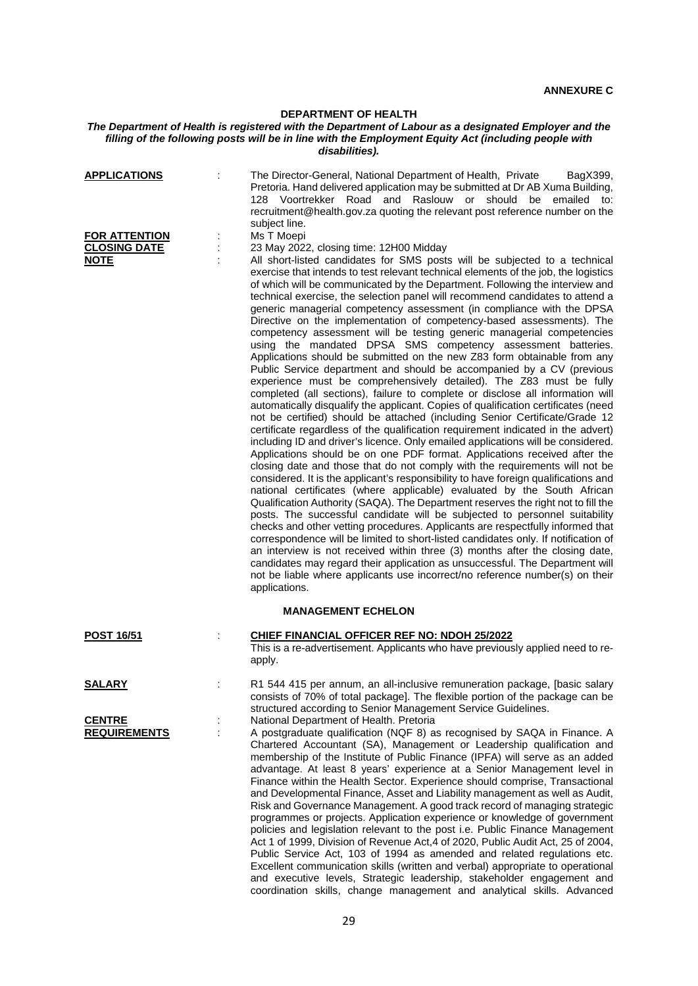## **DEPARTMENT OF HEALTH**

## *The Department of Health is registered with the Department of Labour as a designated Employer and the filling of the following posts will be in line with the Employment Equity Act (including people with disabilities).*

| <b>APPLICATIONS</b>                                        | The Director-General, National Department of Health, Private<br>BagX399,<br>Pretoria. Hand delivered application may be submitted at Dr AB Xuma Building,<br>128 Voortrekker Road and Raslouw or should be<br>emailed<br>to:<br>recruitment@health.gov.za quoting the relevant post reference number on the                                                                                                                                                                                                                                                                                                                                                                                                                                                                                                                                                                                                                                                                                                                                                                                                                                                                                                                                                                                                                                                                                                                                                                                                                                                                                                                                                                                                                                                                                                                                                                                                                                                                                                                                                                                                                                                                                                                                                                                                  |
|------------------------------------------------------------|--------------------------------------------------------------------------------------------------------------------------------------------------------------------------------------------------------------------------------------------------------------------------------------------------------------------------------------------------------------------------------------------------------------------------------------------------------------------------------------------------------------------------------------------------------------------------------------------------------------------------------------------------------------------------------------------------------------------------------------------------------------------------------------------------------------------------------------------------------------------------------------------------------------------------------------------------------------------------------------------------------------------------------------------------------------------------------------------------------------------------------------------------------------------------------------------------------------------------------------------------------------------------------------------------------------------------------------------------------------------------------------------------------------------------------------------------------------------------------------------------------------------------------------------------------------------------------------------------------------------------------------------------------------------------------------------------------------------------------------------------------------------------------------------------------------------------------------------------------------------------------------------------------------------------------------------------------------------------------------------------------------------------------------------------------------------------------------------------------------------------------------------------------------------------------------------------------------------------------------------------------------------------------------------------------------|
| <b>FOR ATTENTION</b><br><b>CLOSING DATE</b><br><b>NOTE</b> | subject line.<br>Ms T Moepi<br>23 May 2022, closing time: 12H00 Midday<br>All short-listed candidates for SMS posts will be subjected to a technical<br>exercise that intends to test relevant technical elements of the job, the logistics<br>of which will be communicated by the Department. Following the interview and<br>technical exercise, the selection panel will recommend candidates to attend a<br>generic managerial competency assessment (in compliance with the DPSA<br>Directive on the implementation of competency-based assessments). The<br>competency assessment will be testing generic managerial competencies<br>using the mandated DPSA SMS competency assessment batteries.<br>Applications should be submitted on the new Z83 form obtainable from any<br>Public Service department and should be accompanied by a CV (previous<br>experience must be comprehensively detailed). The Z83 must be fully<br>completed (all sections), failure to complete or disclose all information will<br>automatically disqualify the applicant. Copies of qualification certificates (need<br>not be certified) should be attached (including Senior Certificate/Grade 12<br>certificate regardless of the qualification requirement indicated in the advert)<br>including ID and driver's licence. Only emailed applications will be considered.<br>Applications should be on one PDF format. Applications received after the<br>closing date and those that do not comply with the requirements will not be<br>considered. It is the applicant's responsibility to have foreign qualifications and<br>national certificates (where applicable) evaluated by the South African<br>Qualification Authority (SAQA). The Department reserves the right not to fill the<br>posts. The successful candidate will be subjected to personnel suitability<br>checks and other vetting procedures. Applicants are respectfully informed that<br>correspondence will be limited to short-listed candidates only. If notification of<br>an interview is not received within three (3) months after the closing date,<br>candidates may regard their application as unsuccessful. The Department will<br>not be liable where applicants use incorrect/no reference number(s) on their<br>applications. |
|                                                            | <b>MANAGEMENT ECHELON</b>                                                                                                                                                                                                                                                                                                                                                                                                                                                                                                                                                                                                                                                                                                                                                                                                                                                                                                                                                                                                                                                                                                                                                                                                                                                                                                                                                                                                                                                                                                                                                                                                                                                                                                                                                                                                                                                                                                                                                                                                                                                                                                                                                                                                                                                                                    |
| <b>POST 16/51</b>                                          | CHIEF FINANCIAL OFFICER REF NO: NDOH 25/2022<br>This is a re-advertisement. Applicants who have previously applied need to re-<br>apply.                                                                                                                                                                                                                                                                                                                                                                                                                                                                                                                                                                                                                                                                                                                                                                                                                                                                                                                                                                                                                                                                                                                                                                                                                                                                                                                                                                                                                                                                                                                                                                                                                                                                                                                                                                                                                                                                                                                                                                                                                                                                                                                                                                     |
| <u>SALARY</u>                                              | R1 544 415 per annum, an all-inclusive remuneration package, [basic salary<br>consists of 70% of total package]. The flexible portion of the package can be<br>structured according to Senior Management Service Guidelines.                                                                                                                                                                                                                                                                                                                                                                                                                                                                                                                                                                                                                                                                                                                                                                                                                                                                                                                                                                                                                                                                                                                                                                                                                                                                                                                                                                                                                                                                                                                                                                                                                                                                                                                                                                                                                                                                                                                                                                                                                                                                                 |
| <b>CENTRE</b><br><b>REQUIREMENTS</b>                       | National Department of Health. Pretoria<br>A postgraduate qualification (NQF 8) as recognised by SAQA in Finance. A<br>Chartered Accountant (SA), Management or Leadership qualification and<br>membership of the Institute of Public Finance (IPFA) will serve as an added<br>advantage. At least 8 years' experience at a Senior Management level in<br>Finance within the Health Sector. Experience should comprise, Transactional<br>and Developmental Finance, Asset and Liability management as well as Audit,<br>Risk and Governance Management. A good track record of managing strategic<br>programmes or projects. Application experience or knowledge of government<br>policies and legislation relevant to the post i.e. Public Finance Management<br>Act 1 of 1999, Division of Revenue Act, 4 of 2020, Public Audit Act, 25 of 2004,<br>Public Service Act, 103 of 1994 as amended and related regulations etc.<br>Excellent communication skills (written and verbal) appropriate to operational<br>and executive levels, Strategic leadership, stakeholder engagement and<br>coordination skills, change management and analytical skills. Advanced                                                                                                                                                                                                                                                                                                                                                                                                                                                                                                                                                                                                                                                                                                                                                                                                                                                                                                                                                                                                                                                                                                                                          |